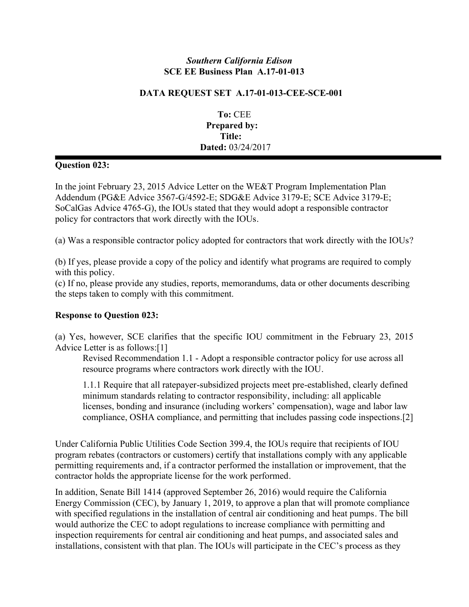## *Southern California Edison* **SCE EE Business Plan A.17-01-013**

## **DATA REQUEST SET A.17-01-013-CEE-SCE-001**

**To:** CEE **Prepared by: Title: Dated:** 03/24/2017

## **Question 023:**

In the joint February 23, 2015 Advice Letter on the WE&T Program Implementation Plan Addendum (PG&E Advice 3567-G/4592-E; SDG&E Advice 3179-E; SCE Advice 3179-E; SoCalGas Advice 4765-G), the IOUs stated that they would adopt a responsible contractor policy for contractors that work directly with the IOUs.

(a) Was a responsible contractor policy adopted for contractors that work directly with the IOUs?

(b) If yes, please provide a copy of the policy and identify what programs are required to comply with this policy.

(c) If no, please provide any studies, reports, memorandums, data or other documents describing the steps taken to comply with this commitment.

## **Response to Question 023:**

(a) Yes, however, SCE clarifies that the specific IOU commitment in the February 23, 2015 Advice Letter is as follows:[1]

Revised Recommendation 1.1 - Adopt a responsible contractor policy for use across all resource programs where contractors work directly with the IOU.

1.1.1 Require that all ratepayer-subsidized projects meet pre-established, clearly defined minimum standards relating to contractor responsibility, including: all applicable licenses, bonding and insurance (including workers' compensation), wage and labor law compliance, OSHA compliance, and permitting that includes passing code inspections.[2]

Under California Public Utilities Code Section 399.4, the IOUs require that recipients of IOU program rebates (contractors or customers) certify that installations comply with any applicable permitting requirements and, if a contractor performed the installation or improvement, that the contractor holds the appropriate license for the work performed.

In addition, Senate Bill 1414 (approved September 26, 2016) would require the California Energy Commission (CEC), by January 1, 2019, to approve a plan that will promote compliance with specified regulations in the installation of central air conditioning and heat pumps. The bill would authorize the CEC to adopt regulations to increase compliance with permitting and inspection requirements for central air conditioning and heat pumps, and associated sales and installations, consistent with that plan. The IOUs will participate in the CEC's process as they